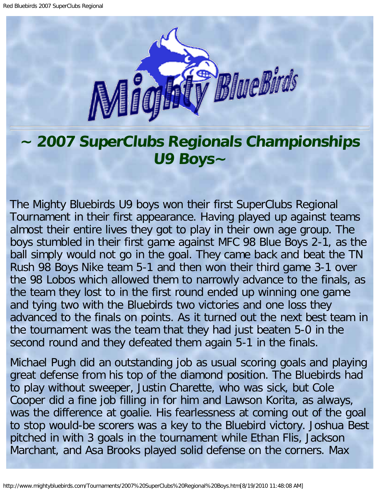

## **~ 2007 SuperClubs Regionals Championships U9 Boys~**

The Mighty Bluebirds U9 boys won their first SuperClubs Regional Tournament in their first appearance. Having played up against teams almost their entire lives they got to play in their own age group. The boys stumbled in their first game against MFC 98 Blue Boys 2-1, as the ball simply would not go in the goal. They came back and beat the TN Rush 98 Boys Nike team 5-1 and then won their third game 3-1 over the 98 Lobos which allowed them to narrowly advance to the finals, as the team they lost to in the first round ended up winning one game and tying two with the Bluebirds two victories and one loss they advanced to the finals on points. As it turned out the next best team in the tournament was the team that they had just beaten 5-0 in the second round and they defeated them again 5-1 in the finals.

Michael Pugh did an outstanding job as usual scoring goals and playing great defense from his top of the diamond position. The Bluebirds had to play without sweeper, Justin Charette, who was sick, but Cole Cooper did a fine job filling in for him and Lawson Korita, as always, was the difference at goalie. His fearlessness at coming out of the goal to stop would-be scorers was a key to the Bluebird victory. Joshua Best pitched in with 3 goals in the tournament while Ethan Flis, Jackson Marchant, and Asa Brooks played solid defense on the corners. Max